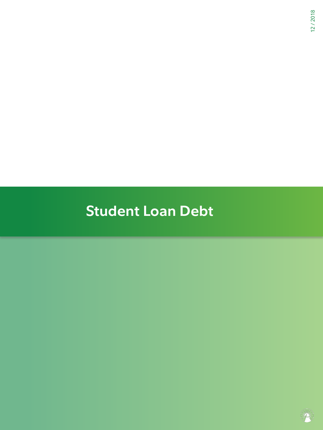# **Student Loan Debt**

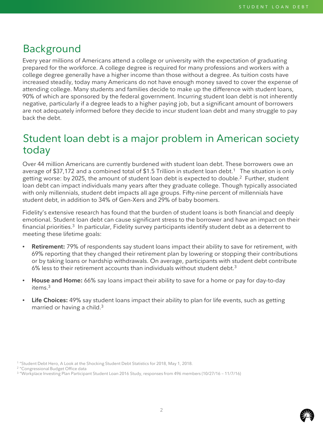#### Background

Every year millions of Americans attend a college or university with the expectation of graduating prepared for the workforce. A college degree is required for many professions and workers with a college degree generally have a higher income than those without a degree. As tuition costs have increased steadily, today many Americans do not have enough money saved to cover the expense of attending college. Many students and families decide to make up the difference with student loans, 90% of which are sponsored by the federal government. Incurring student loan debt is not inherently negative, particularly if a degree leads to a higher paying job, but a significant amount of borrowers are not adequately informed before they decide to incur student loan debt and many struggle to pay back the debt.

# Student loan debt is a major problem in American society today

Over 44 million Americans are currently burdened with student loan debt. These borrowers owe an average of \$37,172 and a combined total of \$1.5 Trillion in student loan debt.<sup>1</sup> The situation is only getting worse: by 2025, the amount of student loan debt is expected to double.<sup>2</sup> Further, student loan debt can impact individuals many years after they graduate college. Though typically associated with only millennials, student debt impacts all age groups. Fifty-nine percent of millennials have student debt, in addition to 34% of Gen-Xers and 29% of baby boomers.

Fidelity's extensive research has found that the burden of student loans is both financial and deeply emotional. Student loan debt can cause significant stress to the borrower and have an impact on their financial priorities.<sup>3</sup> In particular, Fidelity survey participants identify student debt as a deterrent to meeting these lifetime goals:

- **Retirement:** 79% of respondents say student loans impact their ability to save for retirement, with 69% reporting that they changed their retirement plan by lowering or stopping their contributions or by taking loans or hardship withdrawals. On average, participants with student debt contribute 6% less to their retirement accounts than individuals without student debt. $3$
- **House and Home:** 66% say loans impact their ability to save for a home or pay for day-to-day items.<sup>3</sup>
- **Life Choices:** 49% say student loans impact their ability to plan for life events, such as getting married or having a child.<sup>3</sup>

<sup>&</sup>lt;sup>1</sup> "Student Debt Hero, A Look at the Shocking Student Debt Statistics for 2018, May 1, 2018.

<sup>2</sup> "Congressional Budget Office data

<sup>3</sup> "Workplace Investing Plan Participant Student Loan 2016 Study, responses from 496 members (10/27/16 – 11/7/16)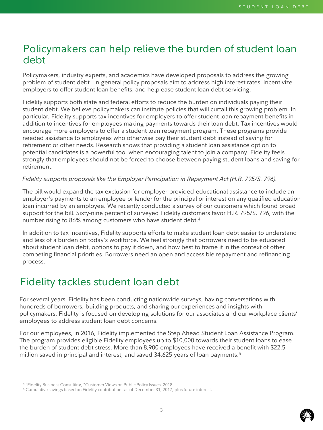### Policymakers can help relieve the burden of student loan debt

Policymakers, industry experts, and academics have developed proposals to address the growing problem of student debt. In general policy proposals aim to address high interest rates, incentivize employers to offer student loan benefits, and help ease student loan debt servicing.

Fidelity supports both state and federal efforts to reduce the burden on individuals paying their student debt. We believe policymakers can institute policies that will curtail this growing problem. In particular, Fidelity supports tax incentives for employers to offer student loan repayment benefits in addition to incentives for employees making payments towards their loan debt. Tax incentives would encourage more employers to offer a student loan repayment program. These programs provide needed assistance to employees who otherwise pay their student debt instead of saving for retirement or other needs. Research shows that providing a student loan assistance option to potential candidates is a powerful tool when encouraging talent to join a company. Fidelity feels strongly that employees should not be forced to choose between paying student loans and saving for retirement.

#### *Fidelity supports proposals like the Employer Participation in Repayment Act (H.R. 795/S. 796).*

The bill would expand the tax exclusion for employer-provided educational assistance to include an employer's payments to an employee or lender for the principal or interest on any qualified education loan incurred by an employee. We recently conducted a survey of our customers which found broad support for the bill. Sixty-nine percent of surveyed Fidelity customers favor H.R. 795/S. 796, with the number rising to 86% among customers who have student debt.<sup>4</sup>

In addition to tax incentives, Fidelity supports efforts to make student loan debt easier to understand and less of a burden on today's workforce. We feel strongly that borrowers need to be educated about student loan debt, options to pay it down, and how best to frame it in the context of other competing financial priorities. Borrowers need an open and accessible repayment and refinancing process.

#### Fidelity tackles student loan debt

For several years, Fidelity has been conducting nationwide surveys, having conversations with hundreds of borrowers, building products, and sharing our experiences and insights with policymakers. Fidelity is focused on developing solutions for our associates and our workplace clients' employees to address student loan debt concerns.

For our employees, in 2016, Fidelity implemented the Step Ahead Student Loan Assistance Program. The program provides eligible Fidelity employees up to \$10,000 towards their student loans to ease the burden of student debt stress. More than 8,900 employees have received a benefit with \$22.5 million saved in principal and interest, and saved 34,625 years of loan payments.5



<sup>4</sup> "Fidelity Business Consulting, "Customer Views on Public Policy Issues, 2018.

<sup>5</sup> Cumulative savings based on Fidelity contributions as of December 31, 2017, plus future interest.